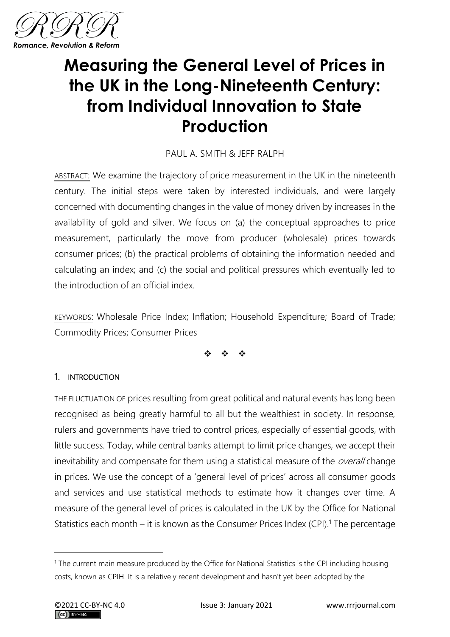

# **Measuring the General Level of Prices in the UK in the Long-Nineteenth Century: from Individual Innovation to State Production**

# PAUL A. SMITH & JEFF RALPH

ABSTRACT: We examine the trajectory of price measurement in the UK in the nineteenth century. The initial steps were taken by interested individuals, and were largely concerned with documenting changes in the value of money driven by increases in the availability of gold and silver. We focus on (a) the conceptual approaches to price measurement, particularly the move from producer (wholesale) prices towards consumer prices; (b) the practical problems of obtaining the information needed and calculating an index; and (c) the social and political pressures which eventually led to the introduction of an official index.

KEYWORDS: Wholesale Price Index; Inflation; Household Expenditure; Board of Trade; Commodity Prices; Consumer Prices

❖ ❖ ❖

## 1. INTRODUCTION

THE FLUCTUATION OF prices resulting from great political and natural events has long been recognised as being greatly harmful to all but the wealthiest in society. In response, rulers and governments have tried to control prices, especially of essential goods, with little success. Today, while central banks attempt to limit price changes, we accept their inevitability and compensate for them using a statistical measure of the *overall* change in prices. We use the concept of a 'general level of prices' across all consumer goods and services and use statistical methods to estimate how it changes over time. A measure of the general level of prices is calculated in the UK by the Office for National Statistics each month – it is known as the Consumer Prices Index (CPI).<sup>1</sup> The percentage

<sup>&</sup>lt;sup>1</sup> The current main measure produced by the Office for National Statistics is the CPI including housing costs, known as CPIH. It is a relatively recent development and hasn't yet been adopted by the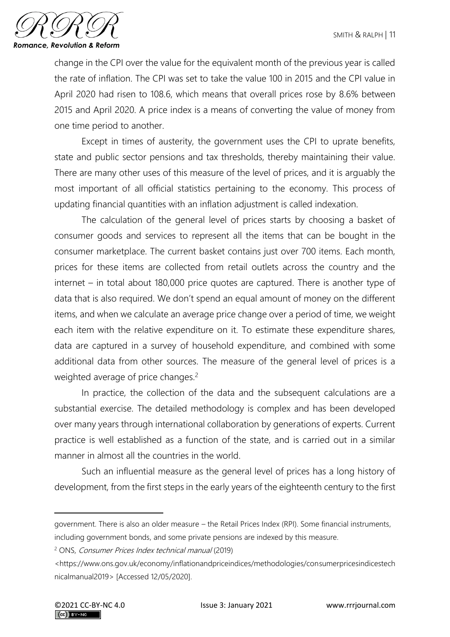

change in the CPI over the value for the equivalent month of the previous year is called the rate of inflation. The CPI was set to take the value 100 in 2015 and the CPI value in April 2020 had risen to 108.6, which means that overall prices rose by 8.6% between 2015 and April 2020. A price index is a means of converting the value of money from one time period to another.

Except in times of austerity, the government uses the CPI to uprate benefits, state and public sector pensions and tax thresholds, thereby maintaining their value. There are many other uses of this measure of the level of prices, and it is arguably the most important of all official statistics pertaining to the economy. This process of updating financial quantities with an inflation adjustment is called indexation.

The calculation of the general level of prices starts by choosing a basket of consumer goods and services to represent all the items that can be bought in the consumer marketplace. The current basket contains just over 700 items. Each month, prices for these items are collected from retail outlets across the country and the internet – in total about 180,000 price quotes are captured. There is another type of data that is also required. We don't spend an equal amount of money on the different items, and when we calculate an average price change over a period of time, we weight each item with the relative expenditure on it. To estimate these expenditure shares, data are captured in a survey of household expenditure, and combined with some additional data from other sources. The measure of the general level of prices is a weighted average of price changes.<sup>2</sup>

In practice, the collection of the data and the subsequent calculations are a substantial exercise. The detailed methodology is complex and has been developed over many years through international collaboration by generations of experts. Current practice is well established as a function of the state, and is carried out in a similar manner in almost all the countries in the world.

Such an influential measure as the general level of prices has a long history of development, from the first steps in the early years of the eighteenth century to the first

government. There is also an older measure – the Retail Prices Index (RPI). Some financial instruments, including government bonds, and some private pensions are indexed by this measure.

<sup>2</sup> ONS, Consumer Prices Index technical manual (2019)

<sup>&</sup>lt;https://www.ons.gov.uk/economy/inflationandpriceindices/methodologies/consumerpricesindicestech nicalmanual2019> [Accessed 12/05/2020].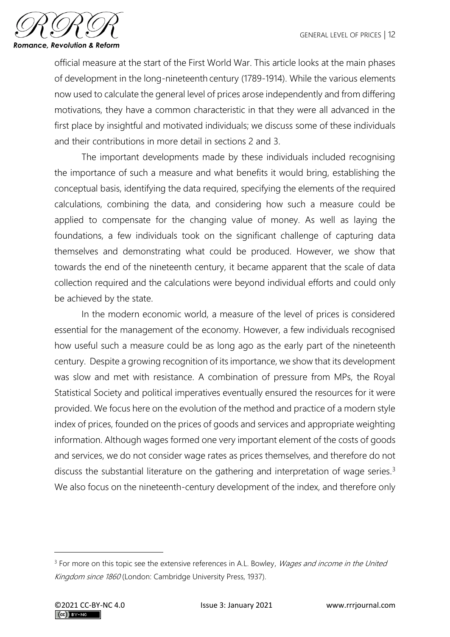

official measure at the start of the First World War. This article looks at the main phases of development in the long-nineteenth century (1789-1914). While the various elements now used to calculate the general level of prices arose independently and from differing motivations, they have a common characteristic in that they were all advanced in the first place by insightful and motivated individuals; we discuss some of these individuals and their contributions in more detail in sections 2 and 3.

The important developments made by these individuals included recognising the importance of such a measure and what benefits it would bring, establishing the conceptual basis, identifying the data required, specifying the elements of the required calculations, combining the data, and considering how such a measure could be applied to compensate for the changing value of money. As well as laying the foundations, a few individuals took on the significant challenge of capturing data themselves and demonstrating what could be produced. However, we show that towards the end of the nineteenth century, it became apparent that the scale of data collection required and the calculations were beyond individual efforts and could only be achieved by the state.

In the modern economic world, a measure of the level of prices is considered essential for the management of the economy. However, a few individuals recognised how useful such a measure could be as long ago as the early part of the nineteenth century. Despite a growing recognition of its importance, we show that its development was slow and met with resistance. A combination of pressure from MPs, the Royal Statistical Society and political imperatives eventually ensured the resources for it were provided. We focus here on the evolution of the method and practice of a modern style index of prices, founded on the prices of goods and services and appropriate weighting information. Although wages formed one very important element of the costs of goods and services, we do not consider wage rates as prices themselves, and therefore do not discuss the substantial literature on the gathering and interpretation of wage series.<sup>3</sup> We also focus on the nineteenth-century development of the index, and therefore only

<sup>&</sup>lt;sup>3</sup> For more on this topic see the extensive references in A.L. Bowley, *Wages and income in the United* Kingdom since 1860 (London: Cambridge University Press, 1937).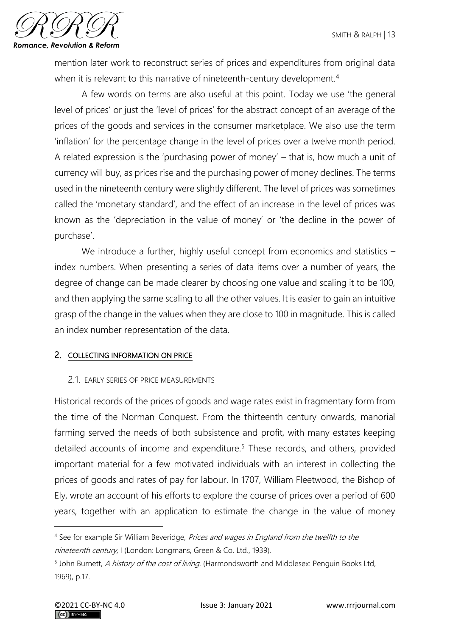

mention later work to reconstruct series of prices and expenditures from original data when it is relevant to this narrative of nineteenth-century development.<sup>4</sup>

A few words on terms are also useful at this point. Today we use 'the general level of prices' or just the 'level of prices' for the abstract concept of an average of the prices of the goods and services in the consumer marketplace. We also use the term 'inflation' for the percentage change in the level of prices over a twelve month period. A related expression is the 'purchasing power of money' – that is, how much a unit of currency will buy, as prices rise and the purchasing power of money declines. The terms used in the nineteenth century were slightly different. The level of prices was sometimes called the 'monetary standard', and the effect of an increase in the level of prices was known as the 'depreciation in the value of money' or 'the decline in the power of purchase'.

We introduce a further, highly useful concept from economics and statistics index numbers. When presenting a series of data items over a number of years, the degree of change can be made clearer by choosing one value and scaling it to be 100, and then applying the same scaling to all the other values. It is easier to gain an intuitive grasp of the change in the values when they are close to 100 in magnitude. This is called an index number representation of the data.

## 2. COLLECTING INFORMATION ON PRICE

## 2.1. EARLY SERIES OF PRICE MEASUREMENTS

Historical records of the prices of goods and wage rates exist in fragmentary form from the time of the Norman Conquest. From the thirteenth century onwards, manorial farming served the needs of both subsistence and profit, with many estates keeping detailed accounts of income and expenditure.<sup>5</sup> These records, and others, provided important material for a few motivated individuals with an interest in collecting the prices of goods and rates of pay for labour. In 1707, William Fleetwood, the Bishop of Ely, wrote an account of his efforts to explore the course of prices over a period of 600 years, together with an application to estimate the change in the value of money

<sup>&</sup>lt;sup>4</sup> See for example Sir William Beveridge, Prices and wages in England from the twelfth to the nineteenth century, I (London: Longmans, Green & Co. Ltd., 1939).

<sup>&</sup>lt;sup>5</sup> John Burnett, A history of the cost of living. (Harmondsworth and Middlesex: Penguin Books Ltd, 1969), p.17.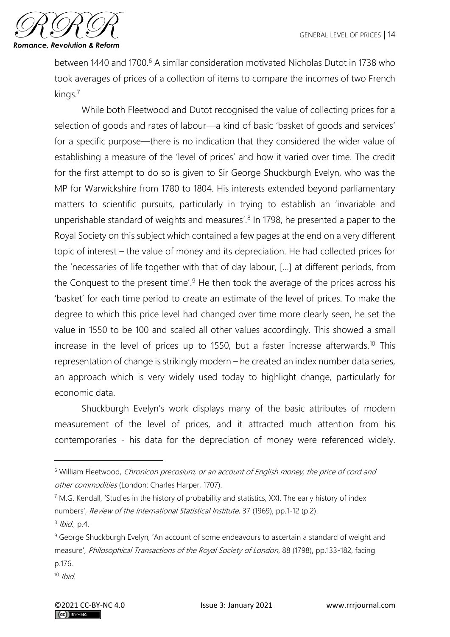

between 1440 and 1700.<sup>6</sup> A similar consideration motivated Nicholas Dutot in 1738 who took averages of prices of a collection of items to compare the incomes of two French kings.<sup>7</sup>

While both Fleetwood and Dutot recognised the value of collecting prices for a selection of goods and rates of labour—a kind of basic 'basket of goods and services' for a specific purpose—there is no indication that they considered the wider value of establishing a measure of the 'level of prices' and how it varied over time. The credit for the first attempt to do so is given to Sir George Shuckburgh Evelyn, who was the MP for Warwickshire from 1780 to 1804. His interests extended beyond parliamentary matters to scientific pursuits, particularly in trying to establish an 'invariable and unperishable standard of weights and measures'.<sup>8</sup> In 1798, he presented a paper to the Royal Society on this subject which contained a few pages at the end on a very different topic of interest – the value of money and its depreciation. He had collected prices for the 'necessaries of life together with that of day labour, […] at different periods, from the Conquest to the present time'. $9$  He then took the average of the prices across his 'basket' for each time period to create an estimate of the level of prices. To make the degree to which this price level had changed over time more clearly seen, he set the value in 1550 to be 100 and scaled all other values accordingly. This showed a small increase in the level of prices up to 1550, but a faster increase afterwards.<sup>10</sup> This representation of change is strikingly modern – he created an index number data series, an approach which is very widely used today to highlight change, particularly for economic data.

Shuckburgh Evelyn's work displays many of the basic attributes of modern measurement of the level of prices, and it attracted much attention from his contemporaries - his data for the depreciation of money were referenced widely.

<sup>8</sup> Ibid., p.4.

<sup>&</sup>lt;sup>6</sup> William Fleetwood, Chronicon precosium, or an account of English money, the price of cord and other commodities (London: Charles Harper, 1707).

<sup>&</sup>lt;sup>7</sup> M.G. Kendall, 'Studies in the history of probability and statistics, XXI. The early history of index numbers', Review of the International Statistical Institute, 37 (1969), pp.1-12 (p.2).

<sup>&</sup>lt;sup>9</sup> George Shuckburgh Evelyn, 'An account of some endeavours to ascertain a standard of weight and measure', Philosophical Transactions of the Royal Society of London, 88 (1798), pp.133-182, facing p.176.

 $10$  Ibid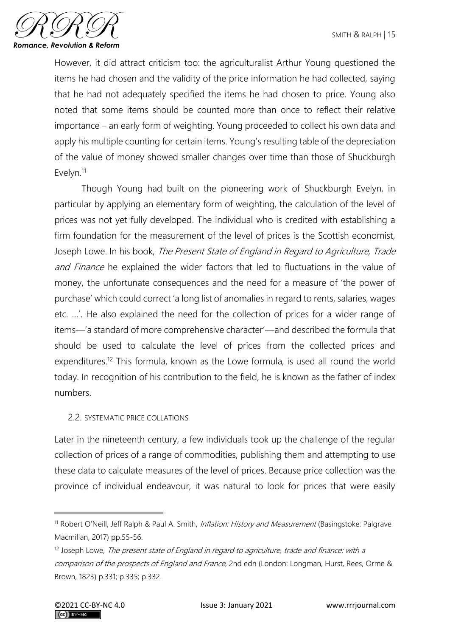

However, it did attract criticism too: the agriculturalist Arthur Young questioned the items he had chosen and the validity of the price information he had collected, saying that he had not adequately specified the items he had chosen to price. Young also noted that some items should be counted more than once to reflect their relative importance – an early form of weighting. Young proceeded to collect his own data and apply his multiple counting for certain items. Young's resulting table of the depreciation of the value of money showed smaller changes over time than those of Shuckburgh Evelyn.<sup>11</sup>

Though Young had built on the pioneering work of Shuckburgh Evelyn, in particular by applying an elementary form of weighting, the calculation of the level of prices was not yet fully developed. The individual who is credited with establishing a firm foundation for the measurement of the level of prices is the Scottish economist, Joseph Lowe. In his book, The Present State of England in Regard to Agriculture, Trade and Finance he explained the wider factors that led to fluctuations in the value of money, the unfortunate consequences and the need for a measure of 'the power of purchase' which could correct 'a long list of anomalies in regard to rents, salaries, wages etc. …'. He also explained the need for the collection of prices for a wider range of items—'a standard of more comprehensive character'—and described the formula that should be used to calculate the level of prices from the collected prices and expenditures.<sup>12</sup> This formula, known as the Lowe formula, is used all round the world today. In recognition of his contribution to the field, he is known as the father of index numbers.

## 2.2. SYSTEMATIC PRICE COLLATIONS

Later in the nineteenth century, a few individuals took up the challenge of the regular collection of prices of a range of commodities, publishing them and attempting to use these data to calculate measures of the level of prices. Because price collection was the province of individual endeavour, it was natural to look for prices that were easily

<sup>&</sup>lt;sup>11</sup> Robert O'Neill, Jeff Ralph & Paul A. Smith, *Inflation: History and Measurement* (Basingstoke: Palgrave Macmillan, 2017) pp.55-56.

 $12$  Joseph Lowe, The present state of England in regard to agriculture, trade and finance: with a comparison of the prospects of England and France, 2nd edn (London: Longman, Hurst, Rees, Orme & Brown, 1823) p.331; p.335; p.332.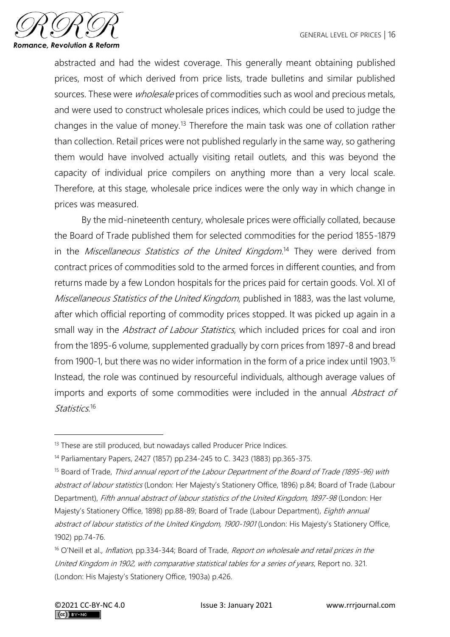

abstracted and had the widest coverage. This generally meant obtaining published prices, most of which derived from price lists, trade bulletins and similar published sources. These were *wholesale* prices of commodities such as wool and precious metals, and were used to construct wholesale prices indices, which could be used to judge the changes in the value of money.<sup>13</sup> Therefore the main task was one of collation rather than collection. Retail prices were not published regularly in the same way, so gathering them would have involved actually visiting retail outlets, and this was beyond the capacity of individual price compilers on anything more than a very local scale. Therefore, at this stage, wholesale price indices were the only way in which change in prices was measured.

By the mid-nineteenth century, wholesale prices were officially collated, because the Board of Trade published them for selected commodities for the period 1855-1879 in the Miscellaneous Statistics of the United Kingdom.<sup>14</sup> They were derived from contract prices of commodities sold to the armed forces in different counties, and from returns made by a few London hospitals for the prices paid for certain goods. Vol. XI of Miscellaneous Statistics of the United Kingdom, published in 1883, was the last volume, after which official reporting of commodity prices stopped. It was picked up again in a small way in the *Abstract of Labour Statistics*, which included prices for coal and iron from the 1895-6 volume, supplemented gradually by corn prices from 1897-8 and bread from 1900-1, but there was no wider information in the form of a price index until 1903.<sup>15</sup> Instead, the role was continued by resourceful individuals, although average values of imports and exports of some commodities were included in the annual Abstract of Statistics.16

<sup>&</sup>lt;sup>13</sup> These are still produced, but nowadays called Producer Price Indices.

<sup>14</sup> Parliamentary Papers, 2427 (1857) pp.234-245 to C. 3423 (1883) pp.365-375.

<sup>&</sup>lt;sup>15</sup> Board of Trade, Third annual report of the Labour Department of the Board of Trade (1895-96) with abstract of labour statistics (London: Her Majesty's Stationery Office, 1896) p.84; Board of Trade (Labour Department), Fifth annual abstract of labour statistics of the United Kingdom, 1897-98 (London: Her Majesty's Stationery Office, 1898) pp.88-89; Board of Trade (Labour Department), *Eighth annual* abstract of labour statistics of the United Kingdom, 1900-1901 (London: His Majesty's Stationery Office, 1902) pp.74-76.

<sup>&</sup>lt;sup>16</sup> O'Neill et al., *Inflation*, pp.334-344; Board of Trade, Report on wholesale and retail prices in the United Kingdom in 1902, with comparative statistical tables for a series of years, Report no. 321. (London: His Majesty's Stationery Office, 1903a) p.426.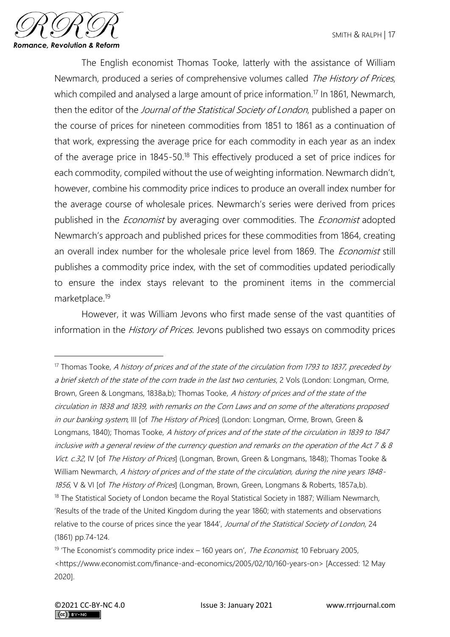

The English economist Thomas Tooke, latterly with the assistance of William Newmarch, produced a series of comprehensive volumes called The History of Prices, which compiled and analysed a large amount of price information.<sup>17</sup> In 1861, Newmarch, then the editor of the *Journal of the Statistical Society of London*, published a paper on the course of prices for nineteen commodities from 1851 to 1861 as a continuation of that work, expressing the average price for each commodity in each year as an index of the average price in 1845-50.<sup>18</sup> This effectively produced a set of price indices for each commodity, compiled without the use of weighting information. Newmarch didn't, however, combine his commodity price indices to produce an overall index number for the average course of wholesale prices. Newmarch's series were derived from prices published in the *Economist* by averaging over commodities. The *Economist* adopted Newmarch's approach and published prices for these commodities from 1864, creating an overall index number for the wholesale price level from 1869. The *Economist* still publishes a commodity price index, with the set of commodities updated periodically to ensure the index stays relevant to the prominent items in the commercial marketplace.<sup>19</sup>

However, it was William Jevons who first made sense of the vast quantities of information in the *History of Prices*. Jevons published two essays on commodity prices

 $17$  Thomas Tooke, A history of prices and of the state of the circulation from 1793 to 1837, preceded by a brief sketch of the state of the corn trade in the last two centuries, 2 Vols (London: Longman, Orme, Brown, Green & Longmans, 1838a,b); Thomas Tooke, A history of prices and of the state of the circulation in 1838 and 1839, with remarks on the Corn Laws and on some of the alterations proposed in our banking system, III [of The History of Prices] (London: Longman, Orme, Brown, Green & Longmans, 1840); Thomas Tooke, A history of prices and of the state of the circulation in 1839 to 1847 inclusive with a general review of the currency question and remarks on the operation of the Act 7 & 8 Vict. c.32, IV [of The History of Prices] (Longman, Brown, Green & Longmans, 1848); Thomas Tooke & William Newmarch, A history of prices and of the state of the circulation, during the nine years 1848-1856, V & VI [of The History of Prices] (Longman, Brown, Green, Longmans & Roberts, 1857a,b). <sup>18</sup> The Statistical Society of London became the Royal Statistical Society in 1887; William Newmarch, 'Results of the trade of the United Kingdom during the year 1860; with statements and observations relative to the course of prices since the year 1844', Journal of the Statistical Society of London, 24 (1861) pp.74-124.

<sup>&</sup>lt;sup>19</sup> 'The Economist's commodity price index  $-$  160 years on', *The Economist*, 10 February 2005, <https://www.economist.com/finance-and-economics/2005/02/10/160-years-on> [Accessed: 12 May 2020].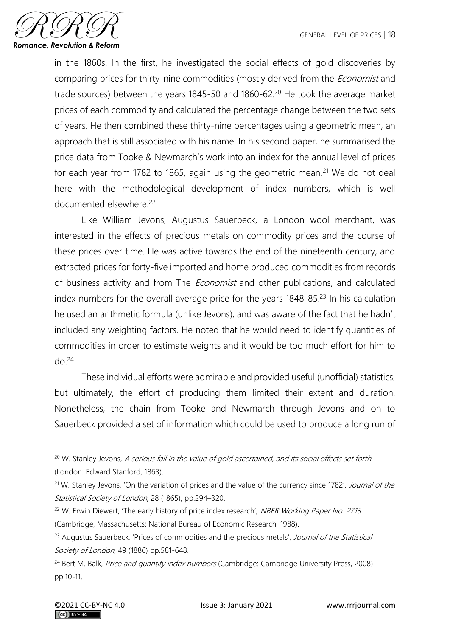

in the 1860s. In the first, he investigated the social effects of gold discoveries by comparing prices for thirty-nine commodities (mostly derived from the *Economist* and trade sources) between the years 1845-50 and 1860-62.<sup>20</sup> He took the average market prices of each commodity and calculated the percentage change between the two sets of years. He then combined these thirty-nine percentages using a geometric mean, an approach that is still associated with his name. In his second paper, he summarised the price data from Tooke & Newmarch's work into an index for the annual level of prices for each year from 1782 to 1865, again using the geometric mean.<sup>21</sup> We do not deal here with the methodological development of index numbers, which is well documented elsewhere.<sup>22</sup>

Like William Jevons, Augustus Sauerbeck, a London wool merchant, was interested in the effects of precious metals on commodity prices and the course of these prices over time. He was active towards the end of the nineteenth century, and extracted prices for forty-five imported and home produced commodities from records of business activity and from The *Economist* and other publications, and calculated index numbers for the overall average price for the years  $1848-85$ <sup>23</sup> In his calculation he used an arithmetic formula (unlike Jevons), and was aware of the fact that he hadn't included any weighting factors. He noted that he would need to identify quantities of commodities in order to estimate weights and it would be too much effort for him to  $d\rho^{24}$ 

These individual efforts were admirable and provided useful (unofficial) statistics, but ultimately, the effort of producing them limited their extent and duration. Nonetheless, the chain from Tooke and Newmarch through Jevons and on to Sauerbeck provided a set of information which could be used to produce a long run of

<sup>&</sup>lt;sup>20</sup> W. Stanley Jevons, A serious fall in the value of gold ascertained, and its social effects set forth (London: Edward Stanford, 1863).

<sup>&</sup>lt;sup>21</sup> W. Stanley Jevons, 'On the variation of prices and the value of the currency since 1782', Journal of the Statistical Society of London, 28 (1865), pp.294–320.

<sup>&</sup>lt;sup>22</sup> W. Erwin Diewert, 'The early history of price index research', NBER Working Paper No. 2713 (Cambridge, Massachusetts: National Bureau of Economic Research, 1988).

<sup>&</sup>lt;sup>23</sup> Augustus Sauerbeck, 'Prices of commodities and the precious metals', Journal of the Statistical Society of London, 49 (1886) pp.581-648.

<sup>&</sup>lt;sup>24</sup> Bert M. Balk, *Price and quantity index numbers* (Cambridge: Cambridge University Press, 2008) pp.10-11.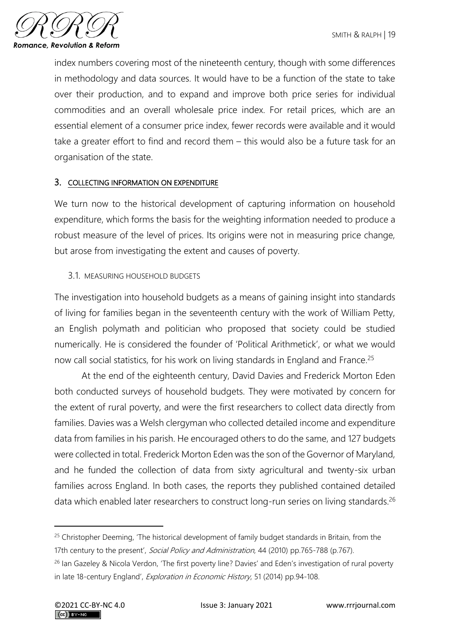

index numbers covering most of the nineteenth century, though with some differences in methodology and data sources. It would have to be a function of the state to take over their production, and to expand and improve both price series for individual commodities and an overall wholesale price index. For retail prices, which are an essential element of a consumer price index, fewer records were available and it would take a greater effort to find and record them – this would also be a future task for an organisation of the state.

## 3. COLLECTING INFORMATION ON EXPENDITURE

We turn now to the historical development of capturing information on household expenditure, which forms the basis for the weighting information needed to produce a robust measure of the level of prices. Its origins were not in measuring price change, but arose from investigating the extent and causes of poverty.

## 3.1. MEASURING HOUSEHOLD BUDGETS

The investigation into household budgets as a means of gaining insight into standards of living for families began in the seventeenth century with the work of William Petty, an English polymath and politician who proposed that society could be studied numerically. He is considered the founder of 'Political Arithmetick', or what we would now call social statistics, for his work on living standards in England and France.<sup>25</sup>

At the end of the eighteenth century, David Davies and Frederick Morton Eden both conducted surveys of household budgets. They were motivated by concern for the extent of rural poverty, and were the first researchers to collect data directly from families. Davies was a Welsh clergyman who collected detailed income and expenditure data from families in his parish. He encouraged others to do the same, and 127 budgets were collected in total. Frederick Morton Eden was the son of the Governor of Maryland, and he funded the collection of data from sixty agricultural and twenty-six urban families across England. In both cases, the reports they published contained detailed data which enabled later researchers to construct long-run series on living standards.<sup>26</sup>

<sup>&</sup>lt;sup>25</sup> Christopher Deeming, 'The historical development of family budget standards in Britain, from the 17th century to the present', Social Policy and Administration, 44 (2010) pp.765-788 (p.767).

<sup>&</sup>lt;sup>26</sup> Ian Gazeley & Nicola Verdon, 'The first poverty line? Davies' and Eden's investigation of rural poverty in late 18-century England', *Exploration in Economic History*, 51 (2014) pp.94-108.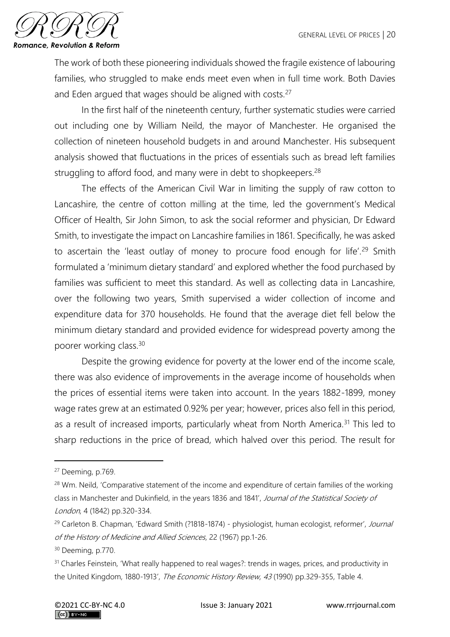

The work of both these pioneering individuals showed the fragile existence of labouring families, who struggled to make ends meet even when in full time work. Both Davies and Eden argued that wages should be aligned with costs.<sup>27</sup>

In the first half of the nineteenth century, further systematic studies were carried out including one by William Neild, the mayor of Manchester. He organised the collection of nineteen household budgets in and around Manchester. His subsequent analysis showed that fluctuations in the prices of essentials such as bread left families struggling to afford food, and many were in debt to shopkeepers.<sup>28</sup>

The effects of the American Civil War in limiting the supply of raw cotton to Lancashire, the centre of cotton milling at the time, led the government's Medical Officer of Health, Sir John Simon, to ask the social reformer and physician, Dr Edward Smith, to investigate the impact on Lancashire families in 1861. Specifically, he was asked to ascertain the 'least outlay of money to procure food enough for life'.<sup>29</sup> Smith formulated a 'minimum dietary standard' and explored whether the food purchased by families was sufficient to meet this standard. As well as collecting data in Lancashire, over the following two years, Smith supervised a wider collection of income and expenditure data for 370 households. He found that the average diet fell below the minimum dietary standard and provided evidence for widespread poverty among the poorer working class.<sup>30</sup>

Despite the growing evidence for poverty at the lower end of the income scale, there was also evidence of improvements in the average income of households when the prices of essential items were taken into account. In the years 1882-1899, money wage rates grew at an estimated 0.92% per year; however, prices also fell in this period, as a result of increased imports, particularly wheat from North America.<sup>31</sup> This led to sharp reductions in the price of bread, which halved over this period. The result for

<sup>27</sup> Deeming, p.769.

<sup>&</sup>lt;sup>28</sup> Wm. Neild, 'Comparative statement of the income and expenditure of certain families of the working class in Manchester and Dukinfield, in the years 1836 and 1841', Journal of the Statistical Society of London, 4 (1842) pp.320-334.

<sup>&</sup>lt;sup>29</sup> Carleton B. Chapman, 'Edward Smith (?1818-1874) - physiologist, human ecologist, reformer', Journal of the History of Medicine and Allied Sciences, 22 (1967) pp.1-26.

<sup>30</sup> Deeming, p.770.

<sup>&</sup>lt;sup>31</sup> Charles Feinstein, 'What really happened to real wages?: trends in wages, prices, and productivity in the United Kingdom, 1880-1913', The Economic History Review, 43 (1990) pp.329-355, Table 4.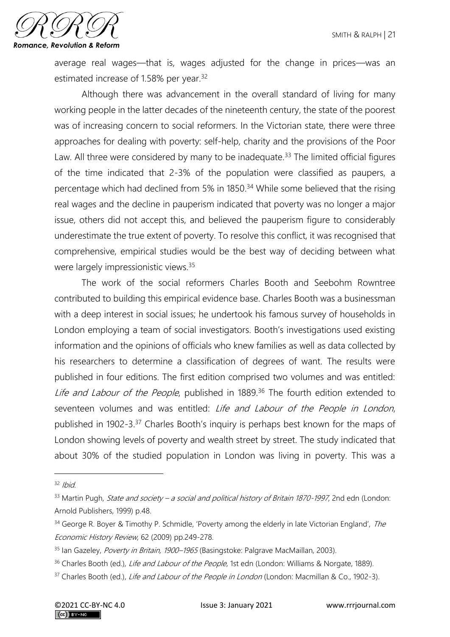

average real wages—that is, wages adjusted for the change in prices—was an estimated increase of 1.58% per year.<sup>32</sup>

Although there was advancement in the overall standard of living for many working people in the latter decades of the nineteenth century, the state of the poorest was of increasing concern to social reformers. In the Victorian state, there were three approaches for dealing with poverty: self-help, charity and the provisions of the Poor Law. All three were considered by many to be inadequate.<sup>33</sup> The limited official figures of the time indicated that 2-3% of the population were classified as paupers, a percentage which had declined from 5% in 1850.<sup>34</sup> While some believed that the rising real wages and the decline in pauperism indicated that poverty was no longer a major issue, others did not accept this, and believed the pauperism figure to considerably underestimate the true extent of poverty. To resolve this conflict, it was recognised that comprehensive, empirical studies would be the best way of deciding between what were largely impressionistic views.<sup>35</sup>

The work of the social reformers Charles Booth and Seebohm Rowntree contributed to building this empirical evidence base. Charles Booth was a businessman with a deep interest in social issues; he undertook his famous survey of households in London employing a team of social investigators. Booth's investigations used existing information and the opinions of officials who knew families as well as data collected by his researchers to determine a classification of degrees of want. The results were published in four editions. The first edition comprised two volumes and was entitled: Life and Labour of the People, published in 1889.<sup>36</sup> The fourth edition extended to seventeen volumes and was entitled: Life and Labour of the People in London, published in 1902-3.<sup>37</sup> Charles Booth's inquiry is perhaps best known for the maps of London showing levels of poverty and wealth street by street. The study indicated that about 30% of the studied population in London was living in poverty. This was a

 $32$  Ibid.

 $33$  Martin Pugh, *State and society – a social and political history of Britain 1870-1997*, 2nd edn (London: Arnold Publishers, 1999) p.48.

 $34$  George R. Boyer & Timothy P. Schmidle, 'Poverty among the elderly in late Victorian England', The Economic History Review, 62 (2009) pp.249-278.

<sup>&</sup>lt;sup>35</sup> Ian Gazeley, Poverty in Britain, 1900–1965 (Basingstoke: Palgrave MacMaillan, 2003).

<sup>&</sup>lt;sup>36</sup> Charles Booth (ed.), Life and Labour of the People, 1st edn (London: Williams & Norgate, 1889).

<sup>&</sup>lt;sup>37</sup> Charles Booth (ed.), *Life and Labour of the People in London* (London: Macmillan & Co., 1902-3).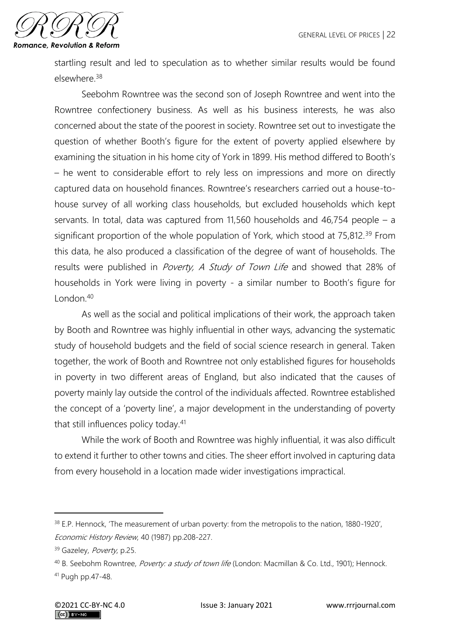

startling result and led to speculation as to whether similar results would be found elsewhere.<sup>38</sup>

Seebohm Rowntree was the second son of Joseph Rowntree and went into the Rowntree confectionery business. As well as his business interests, he was also concerned about the state of the poorest in society. Rowntree set out to investigate the question of whether Booth's figure for the extent of poverty applied elsewhere by examining the situation in his home city of York in 1899. His method differed to Booth's – he went to considerable effort to rely less on impressions and more on directly captured data on household finances. Rowntree's researchers carried out a house-tohouse survey of all working class households, but excluded households which kept servants. In total, data was captured from 11,560 households and 46,754 people – a significant proportion of the whole population of York, which stood at 75,812.<sup>39</sup> From this data, he also produced a classification of the degree of want of households. The results were published in *Poverty, A Study of Town Life* and showed that 28% of households in York were living in poverty - a similar number to Booth's figure for  $L$ ondon  $40$ 

As well as the social and political implications of their work, the approach taken by Booth and Rowntree was highly influential in other ways, advancing the systematic study of household budgets and the field of social science research in general. Taken together, the work of Booth and Rowntree not only established figures for households in poverty in two different areas of England, but also indicated that the causes of poverty mainly lay outside the control of the individuals affected. Rowntree established the concept of a 'poverty line', a major development in the understanding of poverty that still influences policy today.<sup>41</sup>

While the work of Booth and Rowntree was highly influential, it was also difficult to extend it further to other towns and cities. The sheer effort involved in capturing data from every household in a location made wider investigations impractical.

<sup>&</sup>lt;sup>38</sup> E.P. Hennock, 'The measurement of urban poverty: from the metropolis to the nation, 1880-1920', Economic History Review, 40 (1987) pp.208-227.

<sup>39</sup> Gazeley, Poverty, p.25.

<sup>&</sup>lt;sup>40</sup> B. Seebohm Rowntree, *Poverty: a study of town life* (London: Macmillan & Co. Ltd., 1901); Hennock. <sup>41</sup> Pugh pp.47-48.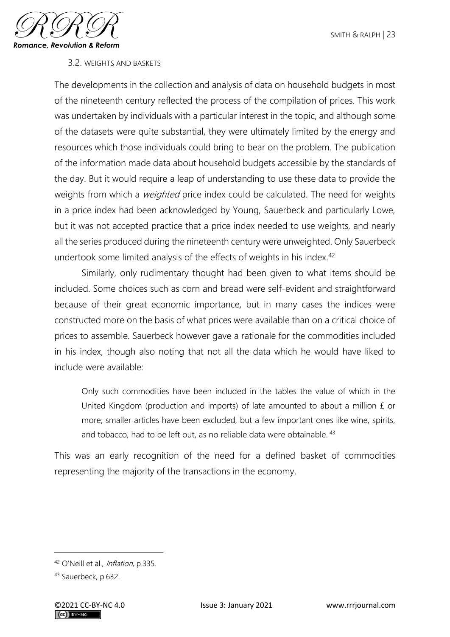

## 3.2. WEIGHTS AND BASKETS

The developments in the collection and analysis of data on household budgets in most of the nineteenth century reflected the process of the compilation of prices. This work was undertaken by individuals with a particular interest in the topic, and although some of the datasets were quite substantial, they were ultimately limited by the energy and resources which those individuals could bring to bear on the problem. The publication of the information made data about household budgets accessible by the standards of the day. But it would require a leap of understanding to use these data to provide the weights from which a *weighted* price index could be calculated. The need for weights in a price index had been acknowledged by Young, Sauerbeck and particularly Lowe, but it was not accepted practice that a price index needed to use weights, and nearly all the series produced during the nineteenth century were unweighted. Only Sauerbeck undertook some limited analysis of the effects of weights in his index.<sup>42</sup>

Similarly, only rudimentary thought had been given to what items should be included. Some choices such as corn and bread were self-evident and straightforward because of their great economic importance, but in many cases the indices were constructed more on the basis of what prices were available than on a critical choice of prices to assemble. Sauerbeck however gave a rationale for the commodities included in his index, though also noting that not all the data which he would have liked to include were available:

Only such commodities have been included in the tables the value of which in the United Kingdom (production and imports) of late amounted to about a million £ or more; smaller articles have been excluded, but a few important ones like wine, spirits, and tobacco, had to be left out, as no reliable data were obtainable. <sup>43</sup>

This was an early recognition of the need for a defined basket of commodities representing the majority of the transactions in the economy.

<sup>42</sup> O'Neill et al., *Inflation*, p.335.

<sup>43</sup> Sauerbeck, p.632.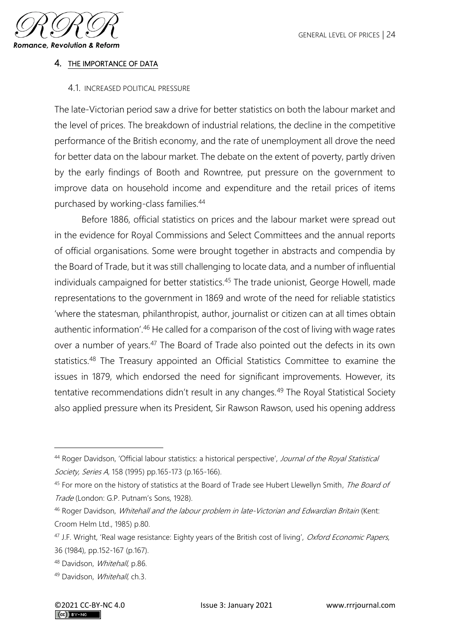

#### 4. THE IMPORTANCE OF DATA

#### 4.1. INCREASED POLITICAL PRESSURE

The late-Victorian period saw a drive for better statistics on both the labour market and the level of prices. The breakdown of industrial relations, the decline in the competitive performance of the British economy, and the rate of unemployment all drove the need for better data on the labour market. The debate on the extent of poverty, partly driven by the early findings of Booth and Rowntree, put pressure on the government to improve data on household income and expenditure and the retail prices of items purchased by working-class families.<sup>44</sup>

Before 1886, official statistics on prices and the labour market were spread out in the evidence for Royal Commissions and Select Committees and the annual reports of official organisations. Some were brought together in abstracts and compendia by the Board of Trade, but it was still challenging to locate data, and a number of influential individuals campaigned for better statistics.<sup>45</sup> The trade unionist, George Howell, made representations to the government in 1869 and wrote of the need for reliable statistics 'where the statesman, philanthropist, author, journalist or citizen can at all times obtain authentic information'.<sup>46</sup> He called for a comparison of the cost of living with wage rates over a number of years.<sup>47</sup> The Board of Trade also pointed out the defects in its own statistics.<sup>48</sup> The Treasury appointed an Official Statistics Committee to examine the issues in 1879, which endorsed the need for significant improvements. However, its tentative recommendations didn't result in any changes.<sup>49</sup> The Royal Statistical Society also applied pressure when its President, Sir Rawson Rawson, used his opening address

<sup>44</sup> Roger Davidson, 'Official labour statistics: a historical perspective', Journal of the Royal Statistical Society, Series A, 158 (1995) pp.165-173 (p.165-166).

<sup>45</sup> For more on the history of statistics at the Board of Trade see Hubert Llewellyn Smith, The Board of Trade (London: G.P. Putnam's Sons, 1928).

<sup>&</sup>lt;sup>46</sup> Roger Davidson, *Whitehall and the labour problem in late-Victorian and Edwardian Britain* (Kent: Croom Helm Ltd., 1985) p.80.

<sup>&</sup>lt;sup>47</sup> J.F. Wright, 'Real wage resistance: Eighty years of the British cost of living', Oxford Economic Papers, 36 (1984), pp.152-167 (p.167).

<sup>48</sup> Davidson, Whitehall, p.86.

<sup>49</sup> Davidson, *Whitehall*, ch.3.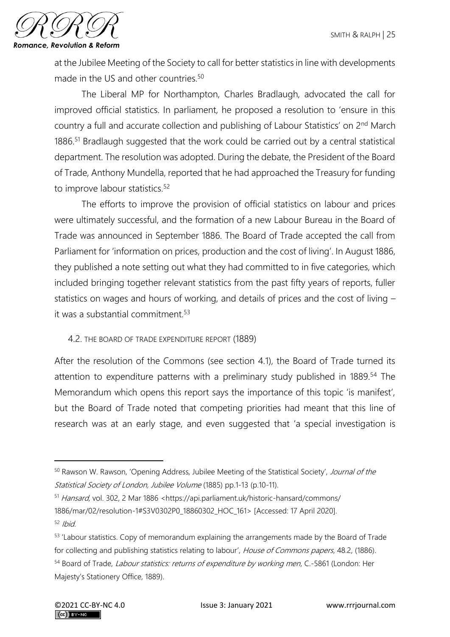

at the Jubilee Meeting of the Society to call for better statistics in line with developments made in the US and other countries.<sup>50</sup>

The Liberal MP for Northampton, Charles Bradlaugh, advocated the call for improved official statistics. In parliament, he proposed a resolution to 'ensure in this country a full and accurate collection and publishing of Labour Statistics' on 2nd March 1886.<sup>51</sup> Bradlaugh suggested that the work could be carried out by a central statistical department. The resolution was adopted. During the debate, the President of the Board of Trade, Anthony Mundella, reported that he had approached the Treasury for funding to improve labour statistics.<sup>52</sup>

The efforts to improve the provision of official statistics on labour and prices were ultimately successful, and the formation of a new Labour Bureau in the Board of Trade was announced in September 1886. The Board of Trade accepted the call from Parliament for 'information on prices, production and the cost of living'. In August 1886, they published a note setting out what they had committed to in five categories, which included bringing together relevant statistics from the past fifty years of reports, fuller statistics on wages and hours of working, and details of prices and the cost of living – it was a substantial commitment.<sup>53</sup>

## 4.2. THE BOARD OF TRADE EXPENDITURE REPORT (1889)

After the resolution of the Commons (see section 4.1), the Board of Trade turned its attention to expenditure patterns with a preliminary study published in 1889.<sup>54</sup> The Memorandum which opens this report says the importance of this topic 'is manifest', but the Board of Trade noted that competing priorities had meant that this line of research was at an early stage, and even suggested that 'a special investigation is

<sup>50</sup> Rawson W. Rawson, 'Opening Address, Jubilee Meeting of the Statistical Society', Journal of the Statistical Society of London, Jubilee Volume (1885) pp.1-13 (p.10-11).

<sup>51</sup> Hansard, vol. 302, 2 Mar 1886 <https://api.parliament.uk/historic-hansard/commons/ 1886/mar/02/resolution-1#S3V0302P0\_18860302\_HOC\_161> [Accessed: 17 April 2020].  $52$  Ibid

<sup>&</sup>lt;sup>53</sup> 'Labour statistics. Copy of memorandum explaining the arrangements made by the Board of Trade for collecting and publishing statistics relating to labour', House of Commons papers, 48.2, (1886). 54 Board of Trade, Labour statistics: returns of expenditure by working men, C.-5861 (London: Her Majesty's Stationery Office, 1889).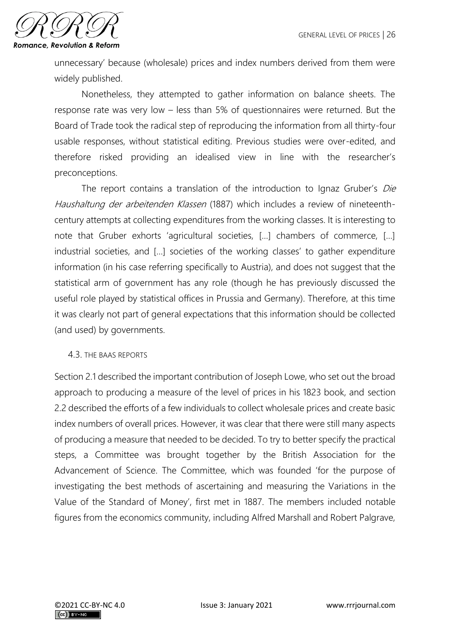

unnecessary' because (wholesale) prices and index numbers derived from them were widely published.

Nonetheless, they attempted to gather information on balance sheets. The response rate was very low – less than 5% of questionnaires were returned. But the Board of Trade took the radical step of reproducing the information from all thirty-four usable responses, without statistical editing. Previous studies were over-edited, and therefore risked providing an idealised view in line with the researcher's preconceptions.

The report contains a translation of the introduction to Ignaz Gruber's *Die* Haushaltung der arbeitenden Klassen (1887) which includes a review of nineteenthcentury attempts at collecting expenditures from the working classes. It is interesting to note that Gruber exhorts 'agricultural societies, […] chambers of commerce, […] industrial societies, and […] societies of the working classes' to gather expenditure information (in his case referring specifically to Austria), and does not suggest that the statistical arm of government has any role (though he has previously discussed the useful role played by statistical offices in Prussia and Germany). Therefore, at this time it was clearly not part of general expectations that this information should be collected (and used) by governments.

## 4.3. THE BAAS REPORTS

Section 2.1 described the important contribution of Joseph Lowe, who set out the broad approach to producing a measure of the level of prices in his 1823 book, and section 2.2 described the efforts of a few individuals to collect wholesale prices and create basic index numbers of overall prices. However, it was clear that there were still many aspects of producing a measure that needed to be decided. To try to better specify the practical steps, a Committee was brought together by the British Association for the Advancement of Science. The Committee, which was founded 'for the purpose of investigating the best methods of ascertaining and measuring the Variations in the Value of the Standard of Money', first met in 1887. The members included notable figures from the economics community, including Alfred Marshall and Robert Palgrave,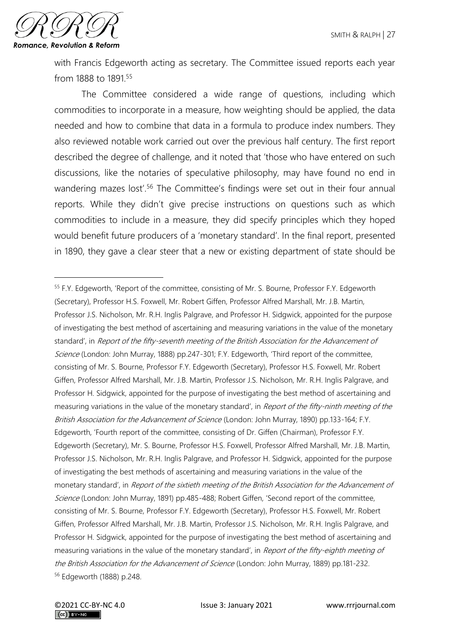

with Francis Edgeworth acting as secretary. The Committee issued reports each year from 1888 to 1891.<sup>55</sup>

The Committee considered a wide range of questions, including which commodities to incorporate in a measure, how weighting should be applied, the data needed and how to combine that data in a formula to produce index numbers. They also reviewed notable work carried out over the previous half century. The first report described the degree of challenge, and it noted that 'those who have entered on such discussions, like the notaries of speculative philosophy, may have found no end in wandering mazes lost'.<sup>56</sup> The Committee's findings were set out in their four annual reports. While they didn't give precise instructions on questions such as which commodities to include in a measure, they did specify principles which they hoped would benefit future producers of a 'monetary standard'. In the final report, presented in 1890, they gave a clear steer that a new or existing department of state should be

<sup>&</sup>lt;sup>55</sup> F.Y. Edgeworth, 'Report of the committee, consisting of Mr. S. Bourne, Professor F.Y. Edgeworth (Secretary), Professor H.S. Foxwell, Mr. Robert Giffen, Professor Alfred Marshall, Mr. J.B. Martin, Professor J.S. Nicholson, Mr. R.H. Inglis Palgrave, and Professor H. Sidgwick, appointed for the purpose of investigating the best method of ascertaining and measuring variations in the value of the monetary standard', in Report of the fifty-seventh meeting of the British Association for the Advancement of Science (London: John Murray, 1888) pp.247-301; F.Y. Edgeworth, 'Third report of the committee, consisting of Mr. S. Bourne, Professor F.Y. Edgeworth (Secretary), Professor H.S. Foxwell, Mr. Robert Giffen, Professor Alfred Marshall, Mr. J.B. Martin, Professor J.S. Nicholson, Mr. R.H. Inglis Palgrave, and Professor H. Sidgwick, appointed for the purpose of investigating the best method of ascertaining and measuring variations in the value of the monetary standard', in Report of the fifty-ninth meeting of the British Association for the Advancement of Science (London: John Murray, 1890) pp.133-164; F.Y. Edgeworth, 'Fourth report of the committee, consisting of Dr. Giffen (Chairman), Professor F.Y. Edgeworth (Secretary), Mr. S. Bourne, Professor H.S. Foxwell, Professor Alfred Marshall, Mr. J.B. Martin, Professor J.S. Nicholson, Mr. R.H. Inglis Palgrave, and Professor H. Sidgwick, appointed for the purpose of investigating the best methods of ascertaining and measuring variations in the value of the monetary standard', in Report of the sixtieth meeting of the British Association for the Advancement of Science (London: John Murray, 1891) pp.485-488; Robert Giffen, 'Second report of the committee, consisting of Mr. S. Bourne, Professor F.Y. Edgeworth (Secretary), Professor H.S. Foxwell, Mr. Robert Giffen, Professor Alfred Marshall, Mr. J.B. Martin, Professor J.S. Nicholson, Mr. R.H. Inglis Palgrave, and Professor H. Sidgwick, appointed for the purpose of investigating the best method of ascertaining and measuring variations in the value of the monetary standard', in Report of the fifty-eighth meeting of the British Association for the Advancement of Science (London: John Murray, 1889) pp.181-232. <sup>56</sup> Edgeworth (1888) p.248.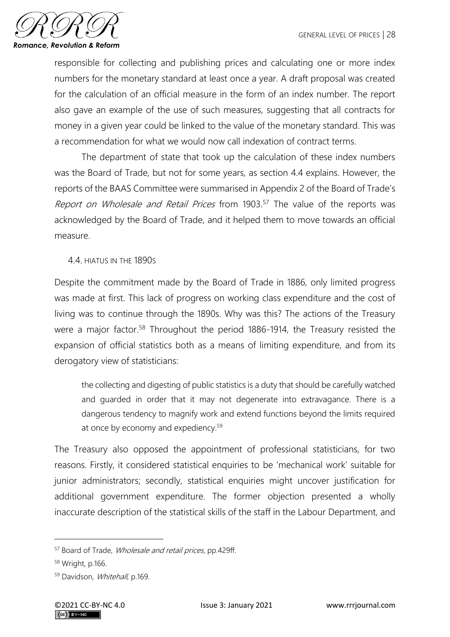

responsible for collecting and publishing prices and calculating one or more index numbers for the monetary standard at least once a year. A draft proposal was created for the calculation of an official measure in the form of an index number. The report also gave an example of the use of such measures, suggesting that all contracts for money in a given year could be linked to the value of the monetary standard. This was a recommendation for what we would now call indexation of contract terms.

The department of state that took up the calculation of these index numbers was the Board of Trade, but not for some years, as section 4.4 explains. However, the reports of the BAAS Committee were summarised in Appendix 2 of the Board of Trade's Report on Wholesale and Retail Prices from 1903.<sup>57</sup> The value of the reports was acknowledged by the Board of Trade, and it helped them to move towards an official measure.

4.4. HIATUS IN THE 1890S

Despite the commitment made by the Board of Trade in 1886, only limited progress was made at first. This lack of progress on working class expenditure and the cost of living was to continue through the 1890s. Why was this? The actions of the Treasury were a major factor.<sup>58</sup> Throughout the period 1886-1914, the Treasury resisted the expansion of official statistics both as a means of limiting expenditure, and from its derogatory view of statisticians:

the collecting and digesting of public statistics is a duty that should be carefully watched and guarded in order that it may not degenerate into extravagance. There is a dangerous tendency to magnify work and extend functions beyond the limits required at once by economy and expediency.<sup>59</sup>

The Treasury also opposed the appointment of professional statisticians, for two reasons. Firstly, it considered statistical enquiries to be 'mechanical work' suitable for junior administrators; secondly, statistical enquiries might uncover justification for additional government expenditure. The former objection presented a wholly inaccurate description of the statistical skills of the staff in the Labour Department, and

<sup>57</sup> Board of Trade, Wholesale and retail prices, pp.429ff.

<sup>58</sup> Wright, p.166.

<sup>59</sup> Davidson, Whitehall, p.169.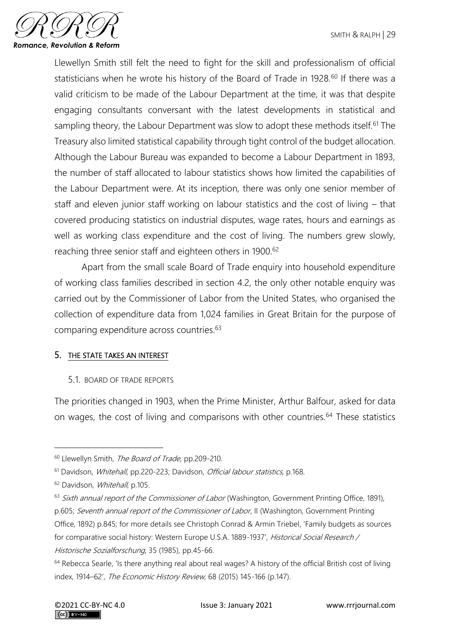

Llewellyn Smith still felt the need to fight for the skill and professionalism of official statisticians when he wrote his history of the Board of Trade in 1928.<sup>60</sup> If there was a valid criticism to be made of the Labour Department at the time, it was that despite engaging consultants conversant with the latest developments in statistical and sampling theory, the Labour Department was slow to adopt these methods itself.<sup>61</sup> The Treasury also limited statistical capability through tight control of the budget allocation. Although the Labour Bureau was expanded to become a Labour Department in 1893, the number of staff allocated to labour statistics shows how limited the capabilities of the Labour Department were. At its inception, there was only one senior member of staff and eleven junior staff working on labour statistics and the cost of living – that covered producing statistics on industrial disputes, wage rates, hours and earnings as well as working class expenditure and the cost of living. The numbers grew slowly, reaching three senior staff and eighteen others in 1900.<sup>62</sup>

Apart from the small scale Board of Trade enquiry into household expenditure of working class families described in section 4.2, the only other notable enquiry was carried out by the Commissioner of Labor from the United States, who organised the collection of expenditure data from 1,024 families in Great Britain for the purpose of comparing expenditure across countries.<sup>63</sup>

## 5. THE STATE TAKES AN INTEREST

5.1. BOARD OF TRADE REPORTS

The priorities changed in 1903, when the Prime Minister, Arthur Balfour, asked for data on wages, the cost of living and comparisons with other countries.<sup>64</sup> These statistics

63 Sixth annual report of the Commissioner of Labor (Washington, Government Printing Office, 1891), p.605; Seventh annual report of the Commissioner of Labor, II (Washington, Government Printing Office, 1892) p.845; for more details see Christoph Conrad & Armin Triebel, 'Family budgets as sources for comparative social history: Western Europe U.S.A. 1889-1937', Historical Social Research / Historische Sozialforschung, 35 (1985), pp.45-66.

<sup>&</sup>lt;sup>60</sup> Llewellyn Smith, The Board of Trade, pp.209-210.

<sup>&</sup>lt;sup>61</sup> Davidson, Whitehall, pp.220-223; Davidson, Official labour statistics, p.168.

<sup>&</sup>lt;sup>62</sup> Davidson, Whitehall, p.105.

<sup>&</sup>lt;sup>64</sup> Rebecca Searle, 'Is there anything real about real wages? A history of the official British cost of living index, 1914–62', The Economic History Review, 68 (2015) 145-166 (p.147).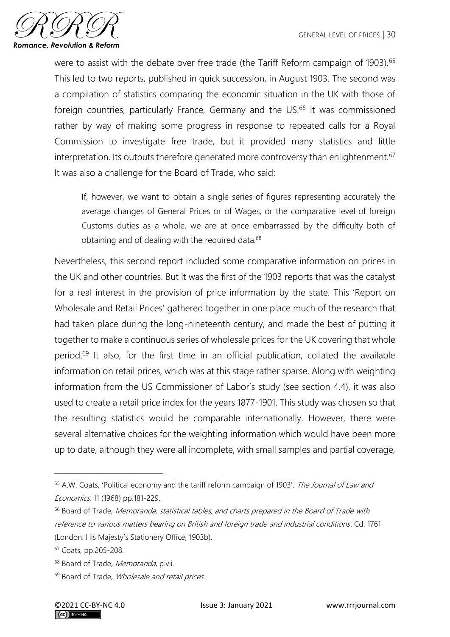

were to assist with the debate over free trade (the Tariff Reform campaign of 1903).<sup>65</sup> This led to two reports, published in quick succession, in August 1903. The second was a compilation of statistics comparing the economic situation in the UK with those of foreign countries, particularly France, Germany and the US.<sup>66</sup> It was commissioned rather by way of making some progress in response to repeated calls for a Royal Commission to investigate free trade, but it provided many statistics and little interpretation. Its outputs therefore generated more controversy than enlightenment.<sup>67</sup> It was also a challenge for the Board of Trade, who said:

If, however, we want to obtain a single series of figures representing accurately the average changes of General Prices or of Wages, or the comparative level of foreign Customs duties as a whole, we are at once embarrassed by the difficulty both of obtaining and of dealing with the required data.<sup>68</sup>

Nevertheless, this second report included some comparative information on prices in the UK and other countries. But it was the first of the 1903 reports that was the catalyst for a real interest in the provision of price information by the state. This 'Report on Wholesale and Retail Prices' gathered together in one place much of the research that had taken place during the long-nineteenth century, and made the best of putting it together to make a continuous series of wholesale prices for the UK covering that whole period.<sup>69</sup> It also, for the first time in an official publication, collated the available information on retail prices, which was at this stage rather sparse. Along with weighting information from the US Commissioner of Labor's study (see section 4.4), it was also used to create a retail price index for the years 1877-1901. This study was chosen so that the resulting statistics would be comparable internationally. However, there were several alternative choices for the weighting information which would have been more up to date, although they were all incomplete, with small samples and partial coverage,

<sup>&</sup>lt;sup>65</sup> A.W. Coats, 'Political economy and the tariff reform campaign of 1903', The Journal of Law and Economics, 11 (1968) pp.181-229.

<sup>&</sup>lt;sup>66</sup> Board of Trade, Memoranda, statistical tables, and charts prepared in the Board of Trade with reference to various matters bearing on British and foreign trade and industrial conditions. Cd. 1761 (London: His Majesty's Stationery Office, 1903b).

<sup>67</sup> Coats, pp.205-208.

<sup>&</sup>lt;sup>68</sup> Board of Trade, Memoranda, p.vii.

<sup>&</sup>lt;sup>69</sup> Board of Trade, *Wholesale and retail prices*.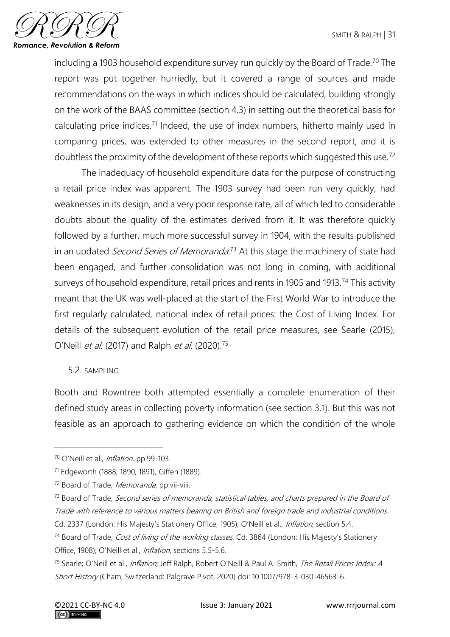

including a 1903 household expenditure survey run quickly by the Board of Trade.<sup>70</sup> The report was put together hurriedly, but it covered a range of sources and made recommendations on the ways in which indices should be calculated, building strongly on the work of the BAAS committee (section 4.3) in setting out the theoretical basis for calculating price indices.<sup>71</sup> Indeed, the use of index numbers, hitherto mainly used in comparing prices, was extended to other measures in the second report, and it is doubtless the proximity of the development of these reports which suggested this use.<sup>72</sup>

The inadequacy of household expenditure data for the purpose of constructing a retail price index was apparent. The 1903 survey had been run very quickly, had weaknesses in its design, and a very poor response rate, all of which led to considerable doubts about the quality of the estimates derived from it. It was therefore quickly followed by a further, much more successful survey in 1904, with the results published in an updated *Second Series of Memoranda*.<sup>73</sup> At this stage the machinery of state had been engaged, and further consolidation was not long in coming, with additional surveys of household expenditure, retail prices and rents in 1905 and 1913.<sup>74</sup> This activity meant that the UK was well-placed at the start of the First World War to introduce the first regularly calculated, national index of retail prices: the Cost of Living Index. For details of the subsequent evolution of the retail price measures, see Searle (2015), O'Neill *et al.* (2017) and Ralph *et al.* (2020).<sup>75</sup>

## 5.2. SAMPLING

Booth and Rowntree both attempted essentially a complete enumeration of their defined study areas in collecting poverty information (see section 3.1). But this was not feasible as an approach to gathering evidence on which the condition of the whole

<sup>70</sup> O'Neill et al., Inflation, pp.99-103.

<sup>71</sup> Edgeworth (1888, 1890, 1891), Giffen (1889).

<sup>&</sup>lt;sup>72</sup> Board of Trade, Memoranda, pp.vii-viii.

<sup>73</sup> Board of Trade, Second series of memoranda, statistical tables, and charts prepared in the Board of Trade with reference to various matters bearing on British and foreign trade and industrial conditions. Cd. 2337 (London: His Majesty's Stationery Office, 1905); O'Neill et al., *Inflation*, section 5.4.

<sup>&</sup>lt;sup>74</sup> Board of Trade, *Cost of living of the working classes*, Cd. 3864 (London: His Majesty's Stationery Office, 1908); O'Neill et al., *Inflation*, sections 5.5-5.6.

<sup>&</sup>lt;sup>75</sup> Searle; O'Neill et al., *Inflation*; Jeff Ralph, Robert O'Neill & Paul A. Smith, The Retail Prices Index: A Short History (Cham, Switzerland: Palgrave Pivot, 2020) doi: 10.1007/978-3-030-46563-6.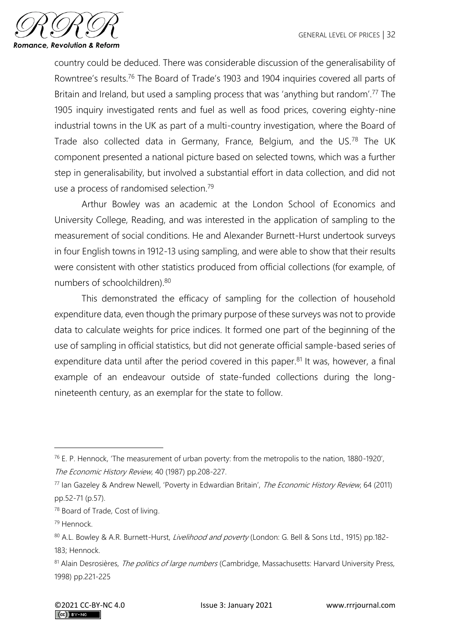

country could be deduced. There was considerable discussion of the generalisability of Rowntree's results.<sup>76</sup> The Board of Trade's 1903 and 1904 inquiries covered all parts of Britain and Ireland, but used a sampling process that was 'anything but random'.<sup>77</sup> The 1905 inquiry investigated rents and fuel as well as food prices, covering eighty-nine industrial towns in the UK as part of a multi-country investigation, where the Board of Trade also collected data in Germany, France, Belgium, and the US.<sup>78</sup> The UK component presented a national picture based on selected towns, which was a further step in generalisability, but involved a substantial effort in data collection, and did not use a process of randomised selection.<sup>79</sup>

Arthur Bowley was an academic at the London School of Economics and University College, Reading, and was interested in the application of sampling to the measurement of social conditions. He and Alexander Burnett-Hurst undertook surveys in four English towns in 1912-13 using sampling, and were able to show that their results were consistent with other statistics produced from official collections (for example, of numbers of schoolchildren).<sup>80</sup>

This demonstrated the efficacy of sampling for the collection of household expenditure data, even though the primary purpose of these surveys was not to provide data to calculate weights for price indices. It formed one part of the beginning of the use of sampling in official statistics, but did not generate official sample-based series of expenditure data until after the period covered in this paper. $81$  It was, however, a final example of an endeavour outside of state-funded collections during the longnineteenth century, as an exemplar for the state to follow.

<sup>76</sup> E. P. Hennock, 'The measurement of urban poverty: from the metropolis to the nation, 1880-1920', The Economic History Review, 40 (1987) pp.208-227.

<sup>77</sup> Ian Gazeley & Andrew Newell, 'Poverty in Edwardian Britain', The Economic History Review, 64 (2011) pp.52-71 (p.57).

<sup>78</sup> Board of Trade, Cost of living.

<sup>79</sup> Hennock.

<sup>80</sup> A.L. Bowley & A.R. Burnett-Hurst, Livelihood and poverty (London: G. Bell & Sons Ltd., 1915) pp.182-183; Hennock.

<sup>81</sup> Alain Desrosières, The politics of large numbers (Cambridge, Massachusetts: Harvard University Press, 1998) pp.221-225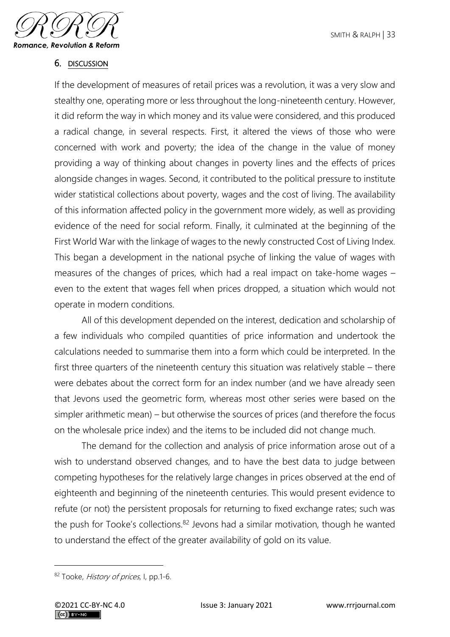

## 6. DISCUSSION

If the development of measures of retail prices was a revolution, it was a very slow and stealthy one, operating more or less throughout the long-nineteenth century. However, it did reform the way in which money and its value were considered, and this produced a radical change, in several respects. First, it altered the views of those who were concerned with work and poverty; the idea of the change in the value of money providing a way of thinking about changes in poverty lines and the effects of prices alongside changes in wages. Second, it contributed to the political pressure to institute wider statistical collections about poverty, wages and the cost of living. The availability of this information affected policy in the government more widely, as well as providing evidence of the need for social reform. Finally, it culminated at the beginning of the First World War with the linkage of wages to the newly constructed Cost of Living Index. This began a development in the national psyche of linking the value of wages with measures of the changes of prices, which had a real impact on take-home wages – even to the extent that wages fell when prices dropped, a situation which would not operate in modern conditions.

All of this development depended on the interest, dedication and scholarship of a few individuals who compiled quantities of price information and undertook the calculations needed to summarise them into a form which could be interpreted. In the first three quarters of the nineteenth century this situation was relatively stable – there were debates about the correct form for an index number (and we have already seen that Jevons used the geometric form, whereas most other series were based on the simpler arithmetic mean) – but otherwise the sources of prices (and therefore the focus on the wholesale price index) and the items to be included did not change much.

The demand for the collection and analysis of price information arose out of a wish to understand observed changes, and to have the best data to judge between competing hypotheses for the relatively large changes in prices observed at the end of eighteenth and beginning of the nineteenth centuries. This would present evidence to refute (or not) the persistent proposals for returning to fixed exchange rates; such was the push for Tooke's collections.<sup>82</sup> Jevons had a similar motivation, though he wanted to understand the effect of the greater availability of gold on its value.

<sup>82</sup> Tooke, History of prices, I, pp.1-6.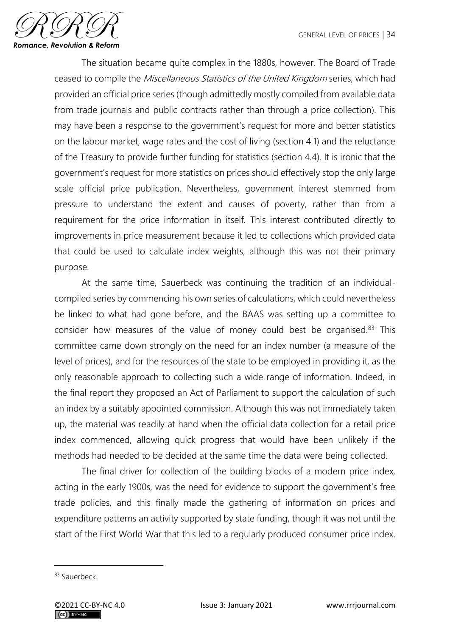

The situation became quite complex in the 1880s, however. The Board of Trade ceased to compile the Miscellaneous Statistics of the United Kingdom series, which had provided an official price series (though admittedly mostly compiled from available data from trade journals and public contracts rather than through a price collection). This may have been a response to the government's request for more and better statistics on the labour market, wage rates and the cost of living (section 4.1) and the reluctance of the Treasury to provide further funding for statistics (section 4.4). It is ironic that the government's request for more statistics on prices should effectively stop the only large scale official price publication. Nevertheless, government interest stemmed from pressure to understand the extent and causes of poverty, rather than from a requirement for the price information in itself. This interest contributed directly to improvements in price measurement because it led to collections which provided data that could be used to calculate index weights, although this was not their primary purpose.

At the same time, Sauerbeck was continuing the tradition of an individualcompiled series by commencing his own series of calculations, which could nevertheless be linked to what had gone before, and the BAAS was setting up a committee to consider how measures of the value of money could best be organised.<sup>83</sup> This committee came down strongly on the need for an index number (a measure of the level of prices), and for the resources of the state to be employed in providing it, as the only reasonable approach to collecting such a wide range of information. Indeed, in the final report they proposed an Act of Parliament to support the calculation of such an index by a suitably appointed commission. Although this was not immediately taken up, the material was readily at hand when the official data collection for a retail price index commenced, allowing quick progress that would have been unlikely if the methods had needed to be decided at the same time the data were being collected.

The final driver for collection of the building blocks of a modern price index, acting in the early 1900s, was the need for evidence to support the government's free trade policies, and this finally made the gathering of information on prices and expenditure patterns an activity supported by state funding, though it was not until the start of the First World War that this led to a regularly produced consumer price index.

<sup>83</sup> Sauerbeck